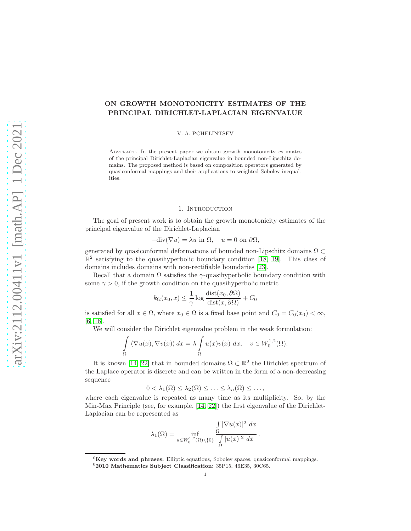# ON GROWTH MONOTONICITY ESTIMATES OF THE PRINCIPAL DIRICHLET-LAPLACIAN EIGENVALUE

V. A. PCHELINTSEV

Abstract. In the present paper we obtain growth monotonicity estimates of the principal Dirichlet-Laplacian eigenvalue in bounded non-Lipschitz domains. The proposed method is based on composition operators generated by quasiconformal mappings and their applications to weighted Sobolev inequalities.

#### 1. INTRODUCTION

The goal of present work is to obtain the growth monotonicity estimates of the principal eigenvalue of the Dirichlet-Laplacian

$$
-\text{div}(\nabla u) = \lambda u \text{ in } \Omega, \quad u = 0 \text{ on } \partial\Omega,
$$

generated by quasiconformal deformations of bounded non-Lipschitz domains  $\Omega \subset$  $\mathbb{R}^2$  satisfying to the quasihyperbolic boundary condition [\[18,](#page-9-0) [19\]](#page-9-1). This class of domains includes domains with non-rectifiable boundaries [\[23\]](#page-9-2).

Recall that a domain  $\Omega$  satisfies the  $\gamma$ -quasihyperbolic boundary condition with some  $\gamma > 0$ , if the growth condition on the quasihyperbolic metric

$$
k_{\Omega}(x_0, x) \le \frac{1}{\gamma} \log \frac{\text{dist}(x_0, \partial \Omega)}{\text{dist}(x, \partial \Omega)} + C_0
$$

is satisfied for all  $x \in \Omega$ , where  $x_0 \in \Omega$  is a fixed base point and  $C_0 = C_0(x_0) < \infty$ , [\[6,](#page-8-0) [16\]](#page-9-3).

We will consider the Dirichlet eigenvalue problem in the weak formulation:

$$
\int_{\Omega} \langle \nabla u(x), \nabla v(x) \rangle dx = \lambda \int_{\Omega} u(x)v(x) dx, \quad v \in W_0^{1,2}(\Omega).
$$

It is known [\[14,](#page-9-4) [22\]](#page-9-5) that in bounded domains  $\Omega \subset \mathbb{R}^2$  the Dirichlet spectrum of the Laplace operator is discrete and can be written in the form of a non-decreasing sequence

$$
0 < \lambda_1(\Omega) \leq \lambda_2(\Omega) \leq \ldots \leq \lambda_n(\Omega) \leq \ldots,
$$

where each eigenvalue is repeated as many time as its multiplicity. So, by the Min-Max Principle (see, for example, [\[14,](#page-9-4) [22\]](#page-9-5)) the first eigenvalue of the Dirichlet-Laplacian can be represented as

$$
\lambda_1(\Omega) = \inf_{u \in W_0^{1,2}(\Omega) \setminus \{0\}} \frac{\int_{\Omega} |\nabla u(x)|^2 dx}{\int_{\Omega} |u(x)|^2 dx}.
$$

 ${}^{0}$ Key words and phrases: Elliptic equations, Sobolev spaces, quasiconformal mappings.  $0$ 2010 Mathematics Subject Classification: 35P15, 46E35, 30C65.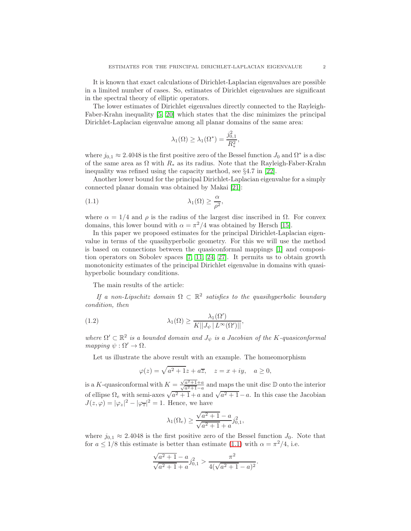It is known that exact calculations of Dirichlet-Laplacian eigenvalues are possible in a limited number of cases. So, estimates of Dirichlet eigenvalues are significant in the spectral theory of elliptic operators.

The lower estimates of Dirichlet eigenvalues directly connected to the Rayleigh-Faber-Krahn inequality [\[5,](#page-8-1) [20\]](#page-9-6) which states that the disc minimizes the principal Dirichlet-Laplacian eigenvalue among all planar domains of the same area:

<span id="page-1-0"></span>
$$
\lambda_1(\Omega) \ge \lambda_1(\Omega^*) = \frac{j_{0,1}^2}{R_*^2},
$$

where  $j_{0,1} \approx 2.4048$  is the first positive zero of the Bessel function  $J_0$  and  $\Omega^*$  is a disc of the same area as  $\Omega$  with  $R_*$  as its radius. Note that the Rayleigh-Faber-Krahn inequality was refined using the capacity method, see §4.7 in [\[22\]](#page-9-5).

Another lower bound for the principal Dirichlet-Laplacian eigenvalue for a simply connected planar domain was obtained by Makai [\[21\]](#page-9-7):

(1.1) 
$$
\lambda_1(\Omega) \geq \frac{\alpha}{\rho^2},
$$

where  $\alpha = 1/4$  and  $\rho$  is the radius of the largest disc inscribed in  $\Omega$ . For convex domains, this lower bound with  $\alpha = \pi^2/4$  was obtained by Hersch [\[15\]](#page-9-8).

In this paper we proposed estimates for the principal Dirichlet-Laplacian eigenvalue in terms of the quasihyperbolic geometry. For this we will use the method is based on connections between the quasiconformal mappings [\[1\]](#page-8-2) and composition operators on Sobolev spaces [\[7,](#page-9-9) [11,](#page-9-10) [24,](#page-9-11) [27\]](#page-9-12). It permits us to obtain growth monotonicity estimates of the principal Dirichlet eigenvalue in domains with quasihyperbolic boundary conditions.

The main results of the article:

If a non-Lipschitz domain  $\Omega \subset \mathbb{R}^2$  satisfies to the quasihyperbolic boundary condition, then

(1.2) 
$$
\lambda_1(\Omega) \geq \frac{\lambda_1(\Omega')}{K||J_{\psi}||L^{\infty}(\Omega')||},
$$

where  $\Omega' \subset \mathbb{R}^2$  is a bounded domain and  $J_{\psi}$  is a Jacobian of the K-quasiconformal mapping  $\psi : \Omega' \to \Omega$ .

Let us illustrate the above result with an example. The homeomorphism

<span id="page-1-1"></span>
$$
\varphi(z) = \sqrt{a^2 + 1}z + a\overline{z}, \quad z = x + iy, \quad a \ge 0,
$$

is a K-quasiconformal with  $K = \frac{\sqrt{a^2+1}+a}{\sqrt{a^2+1}-a}$  and maps the unit disc D onto the interior of ellipse  $\Omega_e$  with semi-axes  $\sqrt{a^2+1}+a$  and  $\sqrt{a^2+1}-a$ . In this case the Jacobian  $J(z,\varphi) = |\varphi_z|^2 - |\varphi_{\overline{z}}|^2 = 1$ . Hence, we have

$$
\lambda_1(\Omega_e) \ge \frac{\sqrt{a^2 + 1} - a}{\sqrt{a^2 + 1} + a} j_{0,1}^2,
$$

where  $j_{0,1} \approx 2.4048$  is the first positive zero of the Bessel function  $J_0$ . Note that for  $a \leq 1/8$  this estimate is better than estimate [\(1.1\)](#page-1-0) with  $\alpha = \pi^2/4$ , i.e.

$$
\frac{\sqrt{a^2+1}-a}{\sqrt{a^2+1}+a}j_{0,1}^2 > \frac{\pi^2}{4(\sqrt{a^2+1}-a)^2}.
$$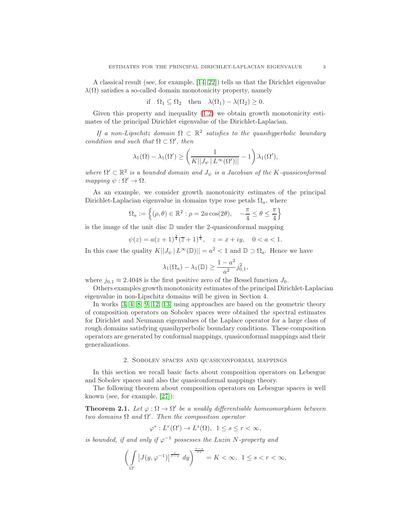A classical result (see, for example, [\[14,](#page-9-4) [22\]](#page-9-5)) tells us that the Dirichlet eigenvalue  $\lambda(\Omega)$  satisfies a so-called domain monotonicity property, namely

$$
\text{if } \Omega_1 \subseteq \Omega_2 \quad \text{then } \lambda(\Omega_1) - \lambda(\Omega_2) \ge 0.
$$

Given this property and inequality [\(1.2\)](#page-1-1) we obtain growth monotonicity estimates of the principal Dirichlet eigenvalue of the Dirichlet-Laplacian.

If a non-Lipschitz domain  $\Omega \subset \mathbb{R}^2$  satisfies to the quasihyperbolic boundary condition and such that  $\Omega \subset \Omega'$ , then

$$
\lambda_1(\Omega)-\lambda_1(\Omega')\geq \left(\frac{1}{K||J_\psi\,|\,L^\infty(\Omega')||}-1\right)\lambda_1(\Omega'),
$$

where  $\Omega' \subset \mathbb{R}^2$  is a bounded domain and  $J_{\psi}$  is a Jacobian of the K-quasiconformal mapping  $\psi : \Omega' \to \Omega$ .

As an example, we consider growth monotonicity estimates of the principal Dirichlet-Laplacian eigenvalue in domains type rose petals  $\Omega_a$ , where

$$
\Omega_a := \left\{ (\rho, \theta) \in \mathbb{R}^2 : \rho = 2a \cos(2\theta), -\frac{\pi}{4} \le \theta \le \frac{\pi}{4} \right\}
$$

is the image of the unit disc  $D$  under the 2-quasiconformal mapping

$$
\psi(z) = a(z+1)^{\frac{3}{4}}(\overline{z}+1)^{\frac{1}{4}}, \quad z = x + iy, \quad 0 < a < 1.
$$

In this case the quality  $K||J_{\psi}||L^{\infty}(\mathbb{D})|| = a^2 < 1$  and  $\mathbb{D} \supset \Omega_a$ . Hence we have

$$
\lambda_1(\Omega_a) - \lambda_1(\mathbb{D}) \ge \frac{1 - a^2}{a^2} j_{0,1}^2,
$$

where  $j_{0,1} \approx 2.4048$  is the first positive zero of the Bessel function  $J_0$ .

Others examples growth monotonicity estimates of the principal Dirichlet-Laplacian eigenvalue in non-Lipschitz domains will be given in Section 4.

In works [\[3,](#page-8-3) [4,](#page-8-4) [8,](#page-9-13) [9,](#page-9-14) [12,](#page-9-15) [13\]](#page-9-16) using approaches are based on the geometric theory of composition operators on Sobolev spaces were obtained the spectral estimates for Dirichlet and Neumann eigenvalues of the Laplace operator for a large class of rough domains satisfying quasihyperbolic boundary conditions. These composition operators are generated by conformal mappings, quasiconformal mappings and their generalizations.

### 2. Sobolev spaces and quasiconformal mappings

In this section we recall basic facts about composition operators on Lebesgue and Sobolev spaces and also the quasiconformal mappings theory.

The following theorem about composition operators on Lebesgue spaces is well known (see, for example, [\[27\]](#page-9-12)):

**Theorem 2.1.** Let  $\varphi : \Omega \to \Omega'$  be a weakly differentiable homeomorphism between two domains  $\Omega$  and  $\Omega'$ . Then the composition operator

$$
\varphi^*: L^r(\Omega') \to L^s(\Omega), \ \ 1 \le s \le r < \infty,
$$

is bounded, if and only if  $\varphi^{-1}$  possesses the Luzin N-property and

$$
\left(\int\limits_{\Omega'} \left|J(y, \varphi^{-1})\right|^{\frac{r}{r-s}} \, dy\right)^{\frac{r-s}{rs}} = K < \infty, \ 1 \leq s < r < \infty,
$$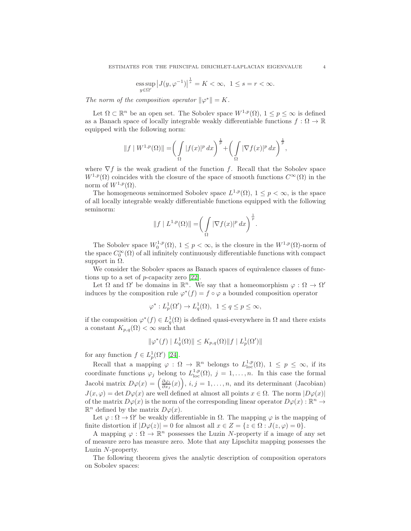$$
\underset{y \in \Omega'}{\mathrm{ess}\sup} \left|J(y, \varphi^{-1})\right|^{\frac{1}{s}} = K < \infty, \ 1 \le s = r < \infty.
$$

The norm of the composition operator  $\|\varphi^*\| = K$ .

Let  $\Omega \subset \mathbb{R}^n$  be an open set. The Sobolev space  $W^{1,p}(\Omega)$ ,  $1 \leq p \leq \infty$  is defined as a Banach space of locally integrable weakly differentiable functions  $f: \Omega \to \mathbb{R}$ equipped with the following norm:

$$
||f||W^{1,p}(\Omega)|| = \left(\int\limits_{\Omega} |f(x)|^p dx\right)^{\frac{1}{p}} + \left(\int\limits_{\Omega} |\nabla f(x)|^p dx\right)^{\frac{1}{p}},
$$

where  $\nabla f$  is the weak gradient of the function f. Recall that the Sobolev space  $W^{1,p}(\Omega)$  coincides with the closure of the space of smooth functions  $C^{\infty}(\Omega)$  in the norm of  $W^{1,p}(\Omega)$ .

The homogeneous seminormed Sobolev space  $L^{1,p}(\Omega)$ ,  $1 \leq p < \infty$ , is the space of all locally integrable weakly differentiable functions equipped with the following seminorm:

$$
||f| L^{1,p}(\Omega)|| = \left(\int\limits_{\Omega} |\nabla f(x)|^p dx\right)^{\frac{1}{p}}.
$$

The Sobolev space  $W_0^{1,p}(\Omega)$ ,  $1 \leq p < \infty$ , is the closure in the  $W^{1,p}(\Omega)$ -norm of the space  $C_0^{\infty}(\Omega)$  of all infinitely continuously differentiable functions with compact support in  $\Omega$ .

We consider the Sobolev spaces as Banach spaces of equivalence classes of functions up to a set of p-capacity zero [\[22\]](#page-9-5).

Let  $\Omega$  and  $\Omega'$  be domains in  $\mathbb{R}^n$ . We say that a homeomorphism  $\varphi : \Omega \to \Omega'$ induces by the composition rule  $\varphi^*(f) = f \circ \varphi$  a bounded composition operator

$$
\varphi^*: L^1_p(\Omega') \to L^1_q(\Omega), \ \ 1 \le q \le p \le \infty,
$$

if the composition  $\varphi^*(f) \in L_q^1(\Omega)$  is defined quasi-everywhere in  $\Omega$  and there exists a constant  $K_{p,q}(\Omega) < \infty$  such that

$$
\|\varphi^*(f) \mid L_q^1(\Omega)\| \le K_{p,q}(\Omega) \|f \mid L_p^1(\Omega')\|
$$

for any function  $f \in L_p^1(\Omega')$  [\[24\]](#page-9-11).

Recall that a mapping  $\varphi : \Omega \to \mathbb{R}^n$  belongs to  $L^{1,p}_{loc}(\Omega)$ ,  $1 \leq p \leq \infty$ , if its coordinate functions  $\varphi_j$  belong to  $L^{1,p}_{loc}(\Omega)$ ,  $j = 1, \ldots, n$ . In this case the formal Jacobi matrix  $D\varphi(x) = \left(\frac{\partial \varphi_i}{\partial x_j}(x)\right), i, j = 1, \ldots, n$ , and its determinant (Jacobian)  $J(x, \varphi) = \det D\varphi(x)$  are well defined at almost all points  $x \in \Omega$ . The norm  $|D\varphi(x)|$ of the matrix  $D\varphi(x)$  is the norm of the corresponding linear operator  $D\varphi(x)$ :  $\mathbb{R}^n \to$  $\mathbb{R}^n$  defined by the matrix  $D\varphi(x)$ .

Let  $\varphi : \Omega \to \Omega'$  be weakly differentiable in  $\Omega$ . The mapping  $\varphi$  is the mapping of finite distortion if  $|D\varphi(z)| = 0$  for almost all  $x \in Z = \{z \in \Omega : J(z, \varphi) = 0\}.$ 

A mapping  $\varphi : \Omega \to \mathbb{R}^n$  possesses the Luzin N-property if a image of any set of measure zero has measure zero. Mote that any Lipschitz mapping possesses the Luzin N-property.

The following theorem gives the analytic description of composition operators on Sobolev spaces: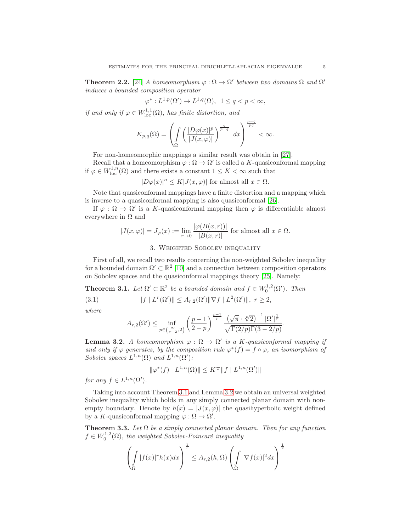**Theorem 2.2.** [\[24\]](#page-9-11) A homeomorphism  $\varphi : \Omega \to \Omega'$  between two domains  $\Omega$  and  $\Omega'$ induces a bounded composition operator

$$
\varphi^*: L^{1,p}(\Omega') \to L^{1,q}(\Omega), \ \ 1 \le q < p < \infty,
$$

if and only if  $\varphi \in W^{1,1}_{loc}(\Omega)$ , has finite distortion, and

$$
K_{p,q}(\Omega)=\left(\int\limits_{\Omega}\left(\frac{|D\varphi(x)|^p}{|J(x,\varphi)|}\right)^{\frac{q}{p-q}}\ dx\right)^{\frac{p-q}{pq}}<\infty.
$$

For non-homeomorphic mappings a similar result was obtain in [\[27\]](#page-9-12).

Recall that a homeomorphism  $\varphi : \Omega \to \Omega'$  is called a K-quasiconformal mapping if  $\varphi \in W^{1,n}_{loc}(\Omega)$  and there exists a constant  $1 \leq K < \infty$  such that

 $|D\varphi(x)|^n \leq K|J(x,\varphi)|$  for almost all  $x \in \Omega$ .

Note that quasiconformal mappings have a finite distortion and a mapping which is inverse to a quasiconformal mapping is also quasiconformal [\[26\]](#page-9-17).

If  $\varphi : \Omega \to \Omega'$  is a K-quasiconformal mapping then  $\varphi$  is differentiable almost everywhere in  $\Omega$  and

$$
|J(x,\varphi)| = J_{\varphi}(x) := \lim_{r \to 0} \frac{|\varphi(B(x,r))|}{|B(x,r)|} \text{ for almost all } x \in \Omega.
$$

## 3. Weighted Sobolev inequality

First of all, we recall two results concerning the non-weighted Sobolev inequality for a bounded domain  $\Omega' \subset \mathbb{R}^2$  [\[10\]](#page-9-18) and a connection between composition operators on Sobolev spaces and the quasiconformal mappings theory [\[25\]](#page-9-19). Namely:

<span id="page-4-0"></span>**Theorem 3.1.** Let  $\Omega' \subset \mathbb{R}^2$  be a bounded domain and  $f \in W_0^{1,2}(\Omega')$ . Then

(3.1)  $||f| L^r(\Omega')|| \leq A_{r,2}(\Omega') ||\nabla f| L^2(\Omega')||, r \geq 2,$ 

where

$$
A_{r,2}(\Omega') \le \inf_{p \in \left(\frac{2r}{r+2},2\right)} \left(\frac{p-1}{2-p}\right)^{\frac{p-1}{p}} \frac{\left(\sqrt{\pi} \cdot \sqrt[p]{2}\right)^{-1} |\Omega'|^{\frac{1}{r}}}{\sqrt{\Gamma(2/p)\Gamma(3-2/p)}}.
$$

<span id="page-4-1"></span>**Lemma 3.2.** A homeomorphism  $\varphi : \Omega \to \Omega'$  is a K-quasiconformal mapping if and only if  $\varphi$  generates, by the composition rule  $\varphi^*(f) = f \circ \varphi$ , an isomorphism of Sobolev spaces  $L^{1,n}(\Omega)$  and  $L^{1,n}(\Omega')$ :

$$
\|\varphi^*(f) \mid L^{1,n}(\Omega)\| \le K^{\frac{1}{n}} \|f \mid L^{1,n}(\Omega')\|
$$

for any  $f \in L^{1,n}(\Omega').$ 

Taking into account Theorem [3.1](#page-4-0) and Lemma [3.2](#page-4-1) we obtain an universal weighted Sobolev inequality which holds in any simply connected planar domain with nonempty boundary. Denote by  $h(x) = |J(x, \varphi)|$  the quasihyperbolic weight defined by a K-quasiconformal mapping  $\varphi : \Omega \to \Omega'$ .

<span id="page-4-2"></span>**Theorem 3.3.** Let  $\Omega$  be a simply connected planar domain. Then for any function  $f \in W_0^{1,2}(\Omega)$ , the weighted Sobolev-Poincaré inequality

$$
\left(\int_{\Omega} |f(x)|^r h(x) dx\right)^{\frac{1}{r}} \leq A_{r,2}(h,\Omega) \left(\int_{\Omega} |\nabla f(x)|^2 dx\right)^{\frac{1}{2}}
$$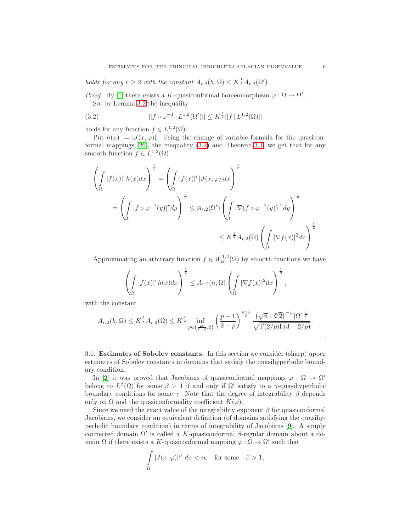# holds for any  $r \geq 2$  with the constant  $A_{r,2}(h,\Omega) \leq K^{\frac{1}{2}}A_{r,2}(\Omega').$

*Proof.* By [\[1\]](#page-8-2) there exists a K-quasiconformal homeomorphism  $\varphi : \Omega \to \Omega'$ . So, by Lemma [3.2](#page-4-1) the inequality

<span id="page-5-0"></span>(3.2) 
$$
||f \circ \varphi^{-1} | L^{1,2}(\Omega')|| \leq K^{\frac{1}{2}} ||f | L^{1,2}(\Omega)||
$$

holds for any function  $f \in L^{1,2}(\Omega)$ .

Put  $h(x) := |J(x, \varphi)|$ . Using the change of variable formula for the quasiconformal mappings [\[26\]](#page-9-17), the inequality [\(3.2\)](#page-5-0) and Theorem [3.1,](#page-4-0) we get that for any smooth function  $f \in L^{1,2}(\Omega)$ 

$$
\left(\int_{\Omega} |f(x)|^r h(x) dx\right)^{\frac{1}{r}} = \left(\int_{\Omega} |f(x)|^r |J(x,\varphi)| dx\right)^{\frac{1}{r}}
$$
  

$$
= \left(\int_{\Omega'} |f \circ \varphi^{-1}(y)|^r dy\right)^{\frac{1}{r}} \leq A_{r,2}(\Omega') \left(\int_{\Omega'} |\nabla (f \circ \varphi^{-1}(y))|^2 dy\right)^{\frac{1}{2}}
$$
  

$$
\leq K^{\frac{1}{2}} A_{r,2}(\widetilde{\Omega}) \left(\int_{\Omega} |\nabla f(x)|^2 dx\right)^{\frac{1}{2}}.
$$

Approximating an arbitrary function  $f \in W_0^{1,2}(\Omega)$  by smooth functions we have

$$
\left(\int_{\Omega} |f(x)|^{r} h(x) dx\right)^{\frac{1}{r}} \leq A_{r,2}(h,\Omega) \left(\int_{\Omega} |\nabla f(x)|^{2} dx\right)^{\frac{1}{2}},
$$

with the constant

$$
A_{r,2}(h,\Omega) \le K^{\frac{1}{2}} A_{r,2}(\Omega) \le K^{\frac{1}{2}} \inf_{p \in \left(\frac{2r}{r+2},2\right)} \left(\frac{p-1}{2-p}\right)^{\frac{p-1}{p}} \frac{\left(\sqrt{\pi} \cdot \sqrt[p]{2}\right)^{-1} |\Omega'|^{\frac{1}{r}}}{\sqrt{\Gamma(2/p)\Gamma(3-2/p)}}.
$$

3.1. Estimates of Sobolev constants. In this section we consider (sharp) upper estimates of Sobolev constants in domains that satisfy the quasihyperbolic boundary condition.

In [\[2\]](#page-8-5) it was proved that Jacobians of quasiconformal mappings  $\varphi : \Omega \to \Omega'$ belong to  $L^{\beta}(\Omega)$  for some  $\beta > 1$  if and only if  $\Omega'$  satisfy to a  $\gamma$ -quasihyperbolic boundary conditions for some  $\gamma$ . Note that the degree of integrability  $\beta$  depends only on  $\Omega$  and the quasiconformality coefficient  $K(\varphi)$ .

Since we need the exact value of the integrability exponent  $\beta$  for quasiconformal Jacobians, we consider an equivalent definition (of domains satisfying the quasihyperbolic boundary condition) in terms of integrability of Jacobians [\[9\]](#page-9-14). A simply connected domain  $Ω'$  is called a K-quasiconformal  $β$ -regular domain about a domain  $\Omega$  if there exists a K-quasiconformal mapping  $\varphi : \Omega \to \Omega'$  such that

$$
\int_{\Omega} |J(x,\varphi)|^{\beta} dx < \infty \quad \text{for some} \quad \beta > 1,
$$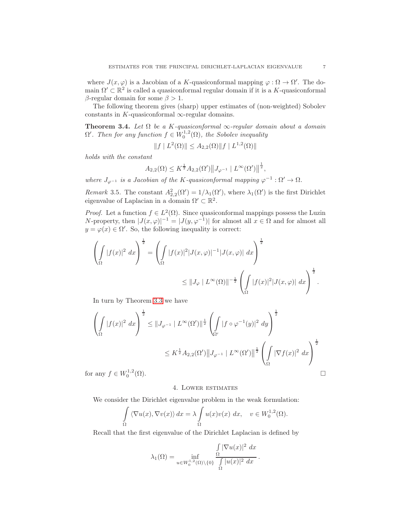where  $J(x, \varphi)$  is a Jacobian of a K-quasiconformal mapping  $\varphi : \Omega \to \Omega'$ . The domain  $\Omega' \subset \mathbb{R}^2$  is called a quasiconformal regular domain if it is a K-quasiconformal β-regular domain for some  $β > 1$ .

The following theorem gives (sharp) upper estimates of (non-weighted) Sobolev constants in K-quasiconformal  $\infty$ -regular domains.

<span id="page-6-0"></span>**Theorem 3.4.** Let  $\Omega$  be a K-quasiconformal  $\infty$ -regular domain about a domain  $\Omega'$ . Then for any function  $f \in W_0^{1,2}(\Omega)$ , the Sobolev inequality

$$
||f| |L^2(\Omega)|| \le A_{2,2}(\Omega) ||f| |L^{1,2}(\Omega)||
$$

holds with the constant

$$
A_{2,2}(\Omega) \leq K^{\frac{1}{2}} A_{2,2}(\Omega') \| J_{\varphi^{-1}} | L^{\infty}(\Omega') \|^{1 \over 2},
$$

where  $J_{\varphi^{-1}}$  is a Jacobian of the K-quasiconformal mapping  $\varphi^{-1} : \Omega' \to \Omega$ .

Remark 3.5. The constant  $A_{2,2}^2(\Omega') = 1/\lambda_1(\Omega')$ , where  $\lambda_1(\Omega')$  is the first Dirichlet eigenvalue of Laplacian in a domain  $\Omega' \subset \mathbb{R}^2$ .

*Proof.* Let a function  $f \in L^2(\Omega)$ . Since quasiconformal mappings possess the Luzin N-property, then  $|J(x,\varphi)|^{-1} = |J(y,\varphi^{-1})|$  for almost all  $x \in \Omega$  and for almost all  $y = \varphi(x) \in \Omega'$ . So, the following inequality is correct:

$$
\left(\int_{\Omega} |f(x)|^2 dx\right)^{\frac{1}{2}} = \left(\int_{\Omega} |f(x)|^2 |J(x,\varphi)|^{-1} |J(x,\varphi)| dx\right)^{\frac{1}{2}}
$$

$$
\leq ||J_{\varphi}||L^{\infty}(\Omega)||^{-\frac{1}{2}} \left(\int_{\Omega} |f(x)|^2 |J(x,\varphi)| dx\right)^{\frac{1}{2}}.
$$

In turn by Theorem [3.3](#page-4-2) we have

$$
\left(\int_{\Omega} |f(x)|^2 dx\right)^{\frac{1}{2}} \leq ||J_{\varphi^{-1}}||L^{\infty}(\Omega')||^{\frac{1}{2}} \left(\int_{\Omega'} |f \circ \varphi^{-1}(y)|^2 dy\right)^{\frac{1}{2}}
$$
  

$$
\leq K^{\frac{1}{2}} A_{2,2}(\Omega') ||J_{\varphi^{-1}}||L^{\infty}(\Omega')||^{\frac{1}{2}} \left(\int_{\Omega} |\nabla f(x)|^2 dx\right)^{\frac{1}{2}}
$$
  
any  $f \in W_0^{1,2}(\Omega)$ .

for any  $f \in W_0^{1,2}$ 

#### 4. Lower estimates

We consider the Dirichlet eigenvalue problem in the weak formulation:

$$
\int_{\Omega} \langle \nabla u(x), \nabla v(x) \rangle dx = \lambda \int_{\Omega} u(x)v(x) dx, \quad v \in W_0^{1,2}(\Omega).
$$

Recall that the first eigenvalue of the Dirichlet Laplacian is defined by

$$
\lambda_1(\Omega) = \inf_{u \in W_0^{1,2}(\Omega) \setminus \{0\}} \frac{\int_{\Omega} |\nabla u(x)|^2 dx}{\int_{\Omega} |u(x)|^2 dx}.
$$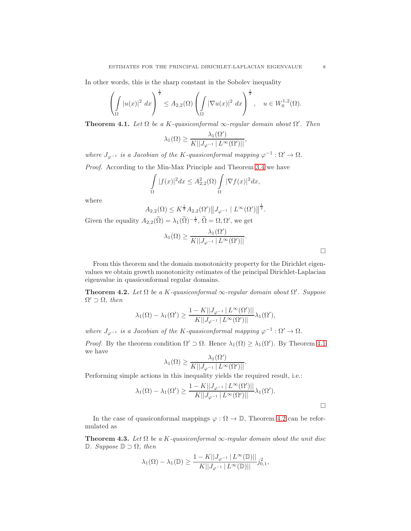In other words, this is the sharp constant in the Sobolev inequality

$$
\left(\int_{\Omega} |u(x)|^2 \ dx\right)^{\frac{1}{2}} \leq A_{2,2}(\Omega) \left(\int_{\Omega} |\nabla u(x)|^2 \ dx\right)^{\frac{1}{2}}, \quad u \in W_0^{1,2}(\Omega).
$$

<span id="page-7-0"></span>**Theorem 4.1.** Let  $\Omega$  be a K-quasiconformal  $\infty$ -regular domain about  $\Omega'$ . Then

$$
\lambda_1(\Omega) \ge \frac{\lambda_1(\Omega')}{K||J_{\varphi^{-1}}||L^{\infty}(\Omega')||},
$$

where  $J_{\varphi^{-1}}$  is a Jacobian of the K-quasiconformal mapping  $\varphi^{-1} : \Omega' \to \Omega$ .

Proof. According to the Min-Max Principle and Theorem [3.4](#page-6-0) we have

$$
\int_{\Omega} |f(x)|^2 dx \le A_{2,2}^2(\Omega) \int_{\Omega} |\nabla f(x)|^2 dx,
$$

where

$$
A_{2,2}(\Omega) \le K^{\frac{1}{2}} A_{2,2}(\Omega') \| J_{\varphi^{-1}} \| L^{\infty}(\Omega') \|^{\frac{1}{2}}.
$$

Given the equality  $A_{2,2}(\tilde{\Omega}) = \lambda_1(\tilde{\Omega})^{-\frac{1}{2}}, \tilde{\Omega} = \Omega, \Omega'$ , we get

$$
\lambda_1(\Omega) \ge \frac{\lambda_1(\Omega')}{K||J_{\varphi^{-1}}||L^{\infty}(\Omega')||}.
$$

From this theorem and the domain monotonicity property for the Dirichlet eigenvalues we obtain growth monotonicity estimates of the principal Dirichlet-Laplacian eigenvalue in quasiconformal regular domains.

<span id="page-7-1"></span>**Theorem 4.2.** Let  $\Omega$  be a K-quasiconformal  $\infty$ -regular domain about  $\Omega'$ . Suppose  $\Omega' \supset \Omega$ , then

$$
\lambda_1(\Omega) - \lambda_1(\Omega') \ge \frac{1 - K||J_{\varphi^{-1}}| L^{\infty}(\Omega')||}{K||J_{\varphi^{-1}}| L^{\infty}(\Omega')||} \lambda_1(\Omega'),
$$

where  $J_{\varphi^{-1}}$  is a Jacobian of the K-quasiconformal mapping  $\varphi^{-1} : \Omega' \to \Omega$ .

*Proof.* By the theorem condition  $\Omega' \supset \Omega$ . Hence  $\lambda_1(\Omega) \geq \lambda_1(\Omega')$ . By Theorem [4.1](#page-7-0) we have

$$
\lambda_1(\Omega) \ge \frac{\lambda_1(\Omega')}{K||J_{\varphi^{-1}}||L^{\infty}(\Omega')||}.
$$

Performing simple actions in this inequality yields the required result, i.e.:

$$
\lambda_1(\Omega) - \lambda_1(\Omega') \ge \frac{1 - K||J_{\varphi^{-1}}| L^{\infty}(\Omega')||}{K||J_{\varphi^{-1}}| L^{\infty}(\Omega')||} \lambda_1(\Omega').
$$

In the case of quasiconformal mappings  $\varphi : \Omega \to \mathbb{D}$ , Theorem [4.2](#page-7-1) can be reformulated as

<span id="page-7-2"></span>**Theorem 4.3.** Let  $\Omega$  be a K-quasiconformal  $\infty$ -regular domain about the unit disc <sup>D</sup>. Suppose <sup>D</sup> <sup>⊃</sup> <sup>Ω</sup>, then

$$
\lambda_1(\Omega)-\lambda_1(\mathbb{D})\geq \frac{1-K||J_{\varphi^{-1}}\,|\,L^\infty(\mathbb{D})||}{K||J_{\varphi^{-1}}\,|\,L^\infty(\mathbb{D})||}j_{0,1}^2,
$$

 $\Box$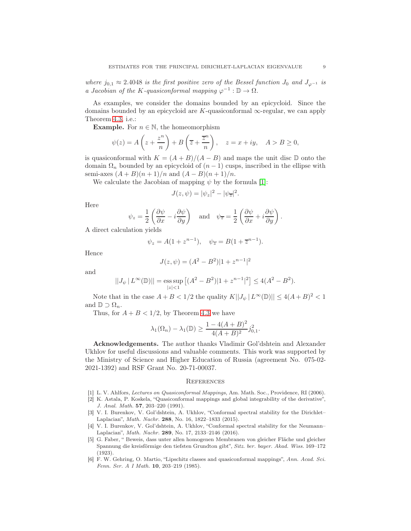where  $j_{0,1} \approx 2.4048$  is the first positive zero of the Bessel function  $J_0$  and  $J_{\varphi^{-1}}$  is a Jacobian of the K-quasiconformal mapping  $\varphi^{-1}: \mathbb{D} \to \Omega$ .

As examples, we consider the domains bounded by an epicycloid. Since the domains bounded by an epicycloid are K-quasiconformal  $\infty$ -regular, we can apply Theorem [4.3,](#page-7-2) i.e.:

**Example.** For  $n \in \mathbb{N}$ , the homeomorphism

$$
\psi(z) = A\left(z + \frac{z^n}{n}\right) + B\left(\overline{z} + \frac{\overline{z}^n}{n}\right), \quad z = x + iy, \quad A > B \ge 0,
$$

is quasiconformal with  $K = (A + B)/(A - B)$  and maps the unit disc D onto the domain  $\Omega_n$  bounded by an epicycloid of  $(n-1)$  cusps, inscribed in the ellipse with semi-axes  $(A + B)(n + 1)/n$  and  $(A - B)(n + 1)/n$ .

We calculate the Jacobian of mapping  $\psi$  by the formula [\[1\]](#page-8-2):

$$
J(z, \psi) = |\psi_z|^2 - |\psi_{\overline{z}}|^2.
$$

Here

$$
\psi_z = \frac{1}{2} \left( \frac{\partial \psi}{\partial x} - i \frac{\partial \psi}{\partial y} \right) \quad \text{and} \quad \psi_{\overline{z}} = \frac{1}{2} \left( \frac{\partial \psi}{\partial x} + i \frac{\partial \psi}{\partial y} \right).
$$

A direct calculation yields

$$
\psi_z = A(1 + z^{n-1}), \quad \psi_{\overline{z}} = B(1 + \overline{z}^{n-1}).
$$

Hence

$$
J(z, \psi) = (A^2 - B^2)|1 + z^{n-1}|^2
$$

and

$$
||J_{\psi} | L^{\infty}(\mathbb{D})|| = \underset{|z| < 1}{\text{ess sup}} \left[ (A^2 - B^2) |1 + z^{n-1}|^2 \right] \le 4(A^2 - B^2).
$$

Note that in the case  $A + B < 1/2$  the quality  $K||J_{\psi}| L^{\infty}(\mathbb{D})|| \leq 4(A + B)^2 < 1$ and  $\mathbb{D} \supset \Omega_n$ .

Thus, for  $A + B < 1/2$ , by Theorem [4.3](#page-7-2) we have

$$
\lambda_1(\Omega_n) - \lambda_1(\mathbb{D}) \ge \frac{1 - 4(A + B)^2}{4(A + B)^2} j_{0,1}^2.
$$

Acknowledgements. The author thanks Vladimir Gol'dshtein and Alexander Ukhlov for useful discussions and valuable comments. This work was supported by the Ministry of Science and Higher Education of Russia (agreement No. 075-02- 2021-1392) and RSF Grant No. 20-71-00037.

#### **REFERENCES**

- <span id="page-8-5"></span><span id="page-8-2"></span>[1] L. V. Ahlfors, Lectures on Quasiconformal Mappings, Am. Math. Soc., Providence, RI (2006).
- [2] K. Astala, P. Koskela, "Quasiconformal mappings and global integrability of the derivative", J. Anal. Math. 57, 203–220 (1991).
- <span id="page-8-3"></span>[3] V. I. Burenkov, V. Gol'dshtein, A. Ukhlov, "Conformal spectral stability for the Dirichlet– Laplacian", Math. Nachr. 288, No. 16, 1822–1833 (2015).
- <span id="page-8-4"></span>[4] V. I. Burenkov, V. Gol'dshtein, A. Ukhlov, "Conformal spectral stability for the Neumann– Laplacian", Math. Nachr. 289, No. 17, 2133–2146 (2016).
- <span id="page-8-1"></span>[5] G. Faber, " Beweis, dass unter allen homogenen Membranen von gleicher Fläche und gleicher Spannung die kreisförmige den tiefsten Grundton gibt", Sitz. ber. bayer. Akad. Wiss. 169–172 (1923).
- <span id="page-8-0"></span>[6] F. W. Gehring, O. Martio, "Lipschitz classes and quasiconformal mappings", Ann. Acad. Sci. Fenn. Ser. A I Math. 10, 203–219 (1985).